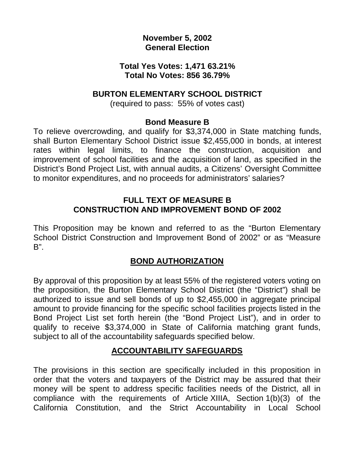## **November 5, 2002 General Election**

#### **Total Yes Votes: 1,471 63.21% Total No Votes: 856 36.79%**

### **BURTON ELEMENTARY SCHOOL DISTRICT**

(required to pass: 55% of votes cast)

### **Bond Measure B**

To relieve overcrowding, and qualify for \$3,374,000 in State matching funds, shall Burton Elementary School District issue \$2,455,000 in bonds, at interest rates within legal limits, to finance the construction, acquisition and improvement of school facilities and the acquisition of land, as specified in the District's Bond Project List, with annual audits, a Citizens' Oversight Committee to monitor expenditures, and no proceeds for administrators' salaries?

### **FULL TEXT OF MEASURE B CONSTRUCTION AND IMPROVEMENT BOND OF 2002**

This Proposition may be known and referred to as the "Burton Elementary School District Construction and Improvement Bond of 2002" or as "Measure B".

# **BOND AUTHORIZATION**

By approval of this proposition by at least 55% of the registered voters voting on the proposition, the Burton Elementary School District (the "District") shall be authorized to issue and sell bonds of up to \$2,455,000 in aggregate principal amount to provide financing for the specific school facilities projects listed in the Bond Project List set forth herein (the "Bond Project List"), and in order to qualify to receive \$3,374,000 in State of California matching grant funds, subject to all of the accountability safeguards specified below.

# **ACCOUNTABILITY SAFEGUARDS**

The provisions in this section are specifically included in this proposition in order that the voters and taxpayers of the District may be assured that their money will be spent to address specific facilities needs of the District, all in compliance with the requirements of Article XIIIA, Section 1(b)(3) of the California Constitution, and the Strict Accountability in Local School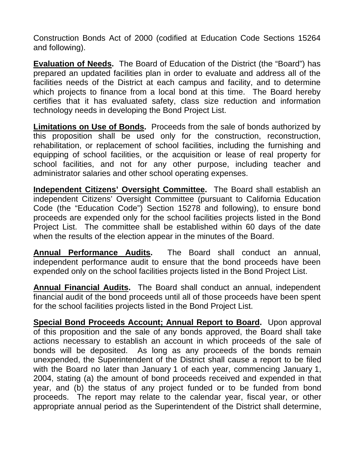Construction Bonds Act of 2000 (codified at Education Code Sections 15264 and following).

**Evaluation of Needs.** The Board of Education of the District (the "Board") has prepared an updated facilities plan in order to evaluate and address all of the facilities needs of the District at each campus and facility, and to determine which projects to finance from a local bond at this time. The Board hereby certifies that it has evaluated safety, class size reduction and information technology needs in developing the Bond Project List.

**Limitations on Use of Bonds.** Proceeds from the sale of bonds authorized by this proposition shall be used only for the construction, reconstruction, rehabilitation, or replacement of school facilities, including the furnishing and equipping of school facilities, or the acquisition or lease of real property for school facilities, and not for any other purpose, including teacher and administrator salaries and other school operating expenses.

**Independent Citizens' Oversight Committee.** The Board shall establish an independent Citizens' Oversight Committee (pursuant to California Education Code (the "Education Code") Section 15278 and following), to ensure bond proceeds are expended only for the school facilities projects listed in the Bond Project List. The committee shall be established within 60 days of the date when the results of the election appear in the minutes of the Board.

**Annual Performance Audits.** The Board shall conduct an annual, independent performance audit to ensure that the bond proceeds have been expended only on the school facilities projects listed in the Bond Project List.

**Annual Financial Audits.** The Board shall conduct an annual, independent financial audit of the bond proceeds until all of those proceeds have been spent for the school facilities projects listed in the Bond Project List.

**Special Bond Proceeds Account; Annual Report to Board.** Upon approval of this proposition and the sale of any bonds approved, the Board shall take actions necessary to establish an account in which proceeds of the sale of bonds will be deposited. As long as any proceeds of the bonds remain unexpended, the Superintendent of the District shall cause a report to be filed with the Board no later than January 1 of each year, commencing January 1, 2004, stating (a) the amount of bond proceeds received and expended in that year, and (b) the status of any project funded or to be funded from bond proceeds. The report may relate to the calendar year, fiscal year, or other appropriate annual period as the Superintendent of the District shall determine,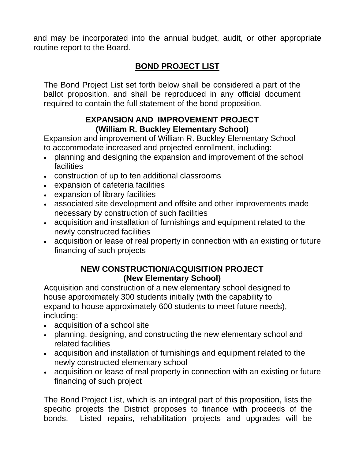and may be incorporated into the annual budget, audit, or other appropriate routine report to the Board.

# **BOND PROJECT LIST**

The Bond Project List set forth below shall be considered a part of the ballot proposition, and shall be reproduced in any official document required to contain the full statement of the bond proposition.

# **EXPANSION AND IMPROVEMENT PROJECT (William R. Buckley Elementary School)**

Expansion and improvement of William R. Buckley Elementary School to accommodate increased and projected enrollment, including:

- planning and designing the expansion and improvement of the school **facilities**
- construction of up to ten additional classrooms
- expansion of cafeteria facilities
- expansion of library facilities
- associated site development and offsite and other improvements made necessary by construction of such facilities
- acquisition and installation of furnishings and equipment related to the newly constructed facilities
- acquisition or lease of real property in connection with an existing or future financing of such projects

# **NEW CONSTRUCTION/ACQUISITION PROJECT (New Elementary School)**

Acquisition and construction of a new elementary school designed to house approximately 300 students initially (with the capability to expand to house approximately 600 students to meet future needs), including:

- acquisition of a school site
- planning, designing, and constructing the new elementary school and related facilities
- acquisition and installation of furnishings and equipment related to the newly constructed elementary school
- acquisition or lease of real property in connection with an existing or future financing of such project

The Bond Project List, which is an integral part of this proposition, lists the specific projects the District proposes to finance with proceeds of the bonds. Listed repairs, rehabilitation projects and upgrades will be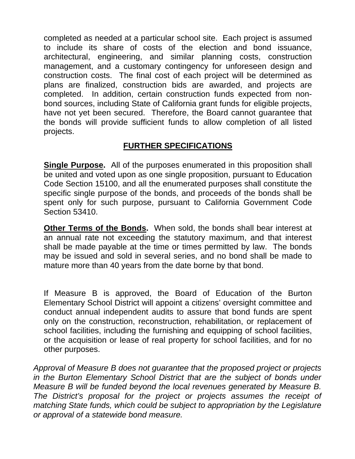completed as needed at a particular school site. Each project is assumed to include its share of costs of the election and bond issuance, architectural, engineering, and similar planning costs, construction management, and a customary contingency for unforeseen design and construction costs. The final cost of each project will be determined as plans are finalized, construction bids are awarded, and projects are completed. In addition, certain construction funds expected from nonbond sources, including State of California grant funds for eligible projects, have not yet been secured. Therefore, the Board cannot guarantee that the bonds will provide sufficient funds to allow completion of all listed projects.

# **FURTHER SPECIFICATIONS**

**Single Purpose.** All of the purposes enumerated in this proposition shall be united and voted upon as one single proposition, pursuant to Education Code Section 15100, and all the enumerated purposes shall constitute the specific single purpose of the bonds, and proceeds of the bonds shall be spent only for such purpose, pursuant to California Government Code Section 53410.

**Other Terms of the Bonds.** When sold, the bonds shall bear interest at an annual rate not exceeding the statutory maximum, and that interest shall be made payable at the time or times permitted by law. The bonds may be issued and sold in several series, and no bond shall be made to mature more than 40 years from the date borne by that bond.

If Measure B is approved, the Board of Education of the Burton Elementary School District will appoint a citizens' oversight committee and conduct annual independent audits to assure that bond funds are spent only on the construction, reconstruction, rehabilitation, or replacement of school facilities, including the furnishing and equipping of school facilities, or the acquisition or lease of real property for school facilities, and for no other purposes.

*Approval of Measure B does not guarantee that the proposed project or projects in the Burton Elementary School District that are the subject of bonds under Measure B will be funded beyond the local revenues generated by Measure B. The District's proposal for the project or projects assumes the receipt of matching State funds, which could be subject to appropriation by the Legislature or approval of a statewide bond measure.*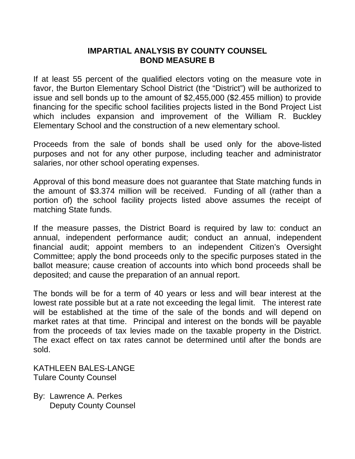### **IMPARTIAL ANALYSIS BY COUNTY COUNSEL BOND MEASURE B**

If at least 55 percent of the qualified electors voting on the measure vote in favor, the Burton Elementary School District (the "District") will be authorized to issue and sell bonds up to the amount of \$2,455,000 (\$2.455 million) to provide financing for the specific school facilities projects listed in the Bond Project List which includes expansion and improvement of the William R. Buckley Elementary School and the construction of a new elementary school.

Proceeds from the sale of bonds shall be used only for the above-listed purposes and not for any other purpose, including teacher and administrator salaries, nor other school operating expenses.

Approval of this bond measure does not guarantee that State matching funds in the amount of \$3.374 million will be received. Funding of all (rather than a portion of) the school facility projects listed above assumes the receipt of matching State funds.

If the measure passes, the District Board is required by law to: conduct an annual, independent performance audit; conduct an annual, independent financial audit; appoint members to an independent Citizen's Oversight Committee; apply the bond proceeds only to the specific purposes stated in the ballot measure; cause creation of accounts into which bond proceeds shall be deposited; and cause the preparation of an annual report.

The bonds will be for a term of 40 years or less and will bear interest at the lowest rate possible but at a rate not exceeding the legal limit. The interest rate will be established at the time of the sale of the bonds and will depend on market rates at that time. Principal and interest on the bonds will be payable from the proceeds of tax levies made on the taxable property in the District. The exact effect on tax rates cannot be determined until after the bonds are sold.

KATHLEEN BALES-LANGE Tulare County Counsel

By: Lawrence A. Perkes Deputy County Counsel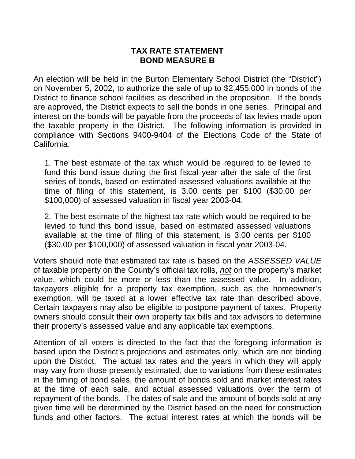### **TAX RATE STATEMENT BOND MEASURE B**

An election will be held in the Burton Elementary School District (the "District") on November 5, 2002, to authorize the sale of up to \$2,455,000 in bonds of the District to finance school facilities as described in the proposition. If the bonds are approved, the District expects to sell the bonds in one series. Principal and interest on the bonds will be payable from the proceeds of tax levies made upon the taxable property in the District. The following information is provided in compliance with Sections 9400-9404 of the Elections Code of the State of California.

1. The best estimate of the tax which would be required to be levied to fund this bond issue during the first fiscal year after the sale of the first series of bonds, based on estimated assessed valuations available at the time of filing of this statement, is 3.00 cents per \$100 (\$30.00 per \$100,000) of assessed valuation in fiscal year 2003-04.

2. The best estimate of the highest tax rate which would be required to be levied to fund this bond issue, based on estimated assessed valuations available at the time of filing of this statement, is 3.00 cents per \$100 (\$30.00 per \$100,000) of assessed valuation in fiscal year 2003-04.

Voters should note that estimated tax rate is based on the *ASSESSED VALUE*  of taxable property on the County's official tax rolls, *not* on the property's market value, which could be more or less than the assessed value. In addition, taxpayers eligible for a property tax exemption, such as the homeowner's exemption, will be taxed at a lower effective tax rate than described above. Certain taxpayers may also be eligible to postpone payment of taxes. Property owners should consult their own property tax bills and tax advisors to determine their property's assessed value and any applicable tax exemptions.

Attention of all voters is directed to the fact that the foregoing information is based upon the District's projections and estimates only, which are not binding upon the District. The actual tax rates and the years in which they will apply may vary from those presently estimated, due to variations from these estimates in the timing of bond sales, the amount of bonds sold and market interest rates at the time of each sale, and actual assessed valuations over the term of repayment of the bonds. The dates of sale and the amount of bonds sold at any given time will be determined by the District based on the need for construction funds and other factors. The actual interest rates at which the bonds will be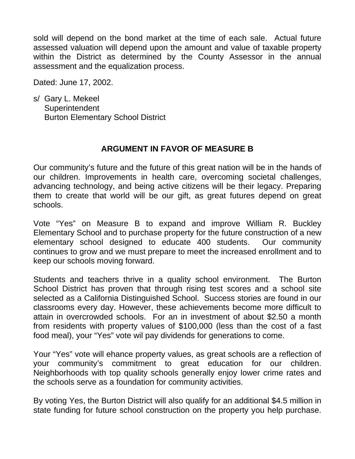sold will depend on the bond market at the time of each sale. Actual future assessed valuation will depend upon the amount and value of taxable property within the District as determined by the County Assessor in the annual assessment and the equalization process.

Dated: June 17, 2002.

s/ Gary L. Mekeel **Superintendent** Burton Elementary School District

## **ARGUMENT IN FAVOR OF MEASURE B**

Our community's future and the future of this great nation will be in the hands of our children. Improvements in health care, overcoming societal challenges, advancing technology, and being active citizens will be their legacy. Preparing them to create that world will be our gift, as great futures depend on great schools.

Vote "Yes" on Measure B to expand and improve William R. Buckley Elementary School and to purchase property for the future construction of a new elementary school designed to educate 400 students. Our community continues to grow and we must prepare to meet the increased enrollment and to keep our schools moving forward.

Students and teachers thrive in a quality school environment. The Burton School District has proven that through rising test scores and a school site selected as a California Distinguished School. Success stories are found in our classrooms every day. However, these achievements become more difficult to attain in overcrowded schools. For an in investment of about \$2.50 a month from residents with property values of \$100,000 (less than the cost of a fast food meal), your "Yes" vote wil pay dividends for generations to come.

Your "Yes" vote will ehance property values, as great schools are a reflection of your community's commitment to great education for our children. Neighborhoods with top quality schools generally enjoy lower crime rates and the schools serve as a foundation for community activities.

By voting Yes, the Burton District will also qualify for an additional \$4.5 million in state funding for future school construction on the property you help purchase.